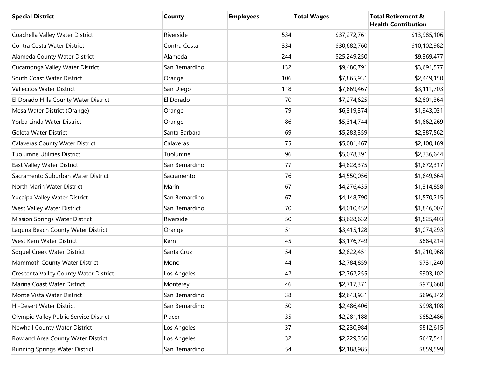| <b>Special District</b>                | <b>County</b>  | <b>Employees</b> | <b>Total Wages</b> | <b>Total Retirement &amp;</b><br><b>Health Contribution</b> |
|----------------------------------------|----------------|------------------|--------------------|-------------------------------------------------------------|
| Coachella Valley Water District        | Riverside      | 534              | \$37,272,761       | \$13,985,106                                                |
| Contra Costa Water District            | Contra Costa   | 334              | \$30,682,760       | \$10,102,982                                                |
| Alameda County Water District          | Alameda        | 244              | \$25,249,250       | \$9,369,477                                                 |
| Cucamonga Valley Water District        | San Bernardino | 132              | \$9,480,791        | \$3,691,577                                                 |
| South Coast Water District             | Orange         | 106              | \$7,865,931        | \$2,449,150                                                 |
| Vallecitos Water District              | San Diego      | 118              | \$7,669,467        | \$3,111,703                                                 |
| El Dorado Hills County Water District  | El Dorado      | 70               | \$7,274,625        | \$2,801,364                                                 |
| Mesa Water District (Orange)           | Orange         | 79               | \$6,319,374        | \$1,943,031                                                 |
| Yorba Linda Water District             | Orange         | 86               | \$5,314,744        | \$1,662,269                                                 |
| Goleta Water District                  | Santa Barbara  | 69               | \$5,283,359        | \$2,387,562                                                 |
| <b>Calaveras County Water District</b> | Calaveras      | 75               | \$5,081,467        | \$2,100,169                                                 |
| <b>Tuolumne Utilities District</b>     | Tuolumne       | 96               | \$5,078,391        | \$2,336,644                                                 |
| East Valley Water District             | San Bernardino | 77               | \$4,828,375        | \$1,672,317                                                 |
| Sacramento Suburban Water District     | Sacramento     | 76               | \$4,550,056        | \$1,649,664                                                 |
| North Marin Water District             | Marin          | 67               | \$4,276,435        | \$1,314,858                                                 |
| Yucaipa Valley Water District          | San Bernardino | 67               | \$4,148,790        | \$1,570,215                                                 |
| West Valley Water District             | San Bernardino | 70               | \$4,010,452        | \$1,846,007                                                 |
| <b>Mission Springs Water District</b>  | Riverside      | 50               | \$3,628,632        | \$1,825,403                                                 |
| Laguna Beach County Water District     | Orange         | 51               | \$3,415,128        | \$1,074,293                                                 |
| West Kern Water District               | Kern           | 45               | \$3,176,749        | \$884,214                                                   |
| Soquel Creek Water District            | Santa Cruz     | 54               | \$2,822,451        | \$1,210,968                                                 |
| Mammoth County Water District          | Mono           | 44               | \$2,784,859        | \$731,240                                                   |
| Crescenta Valley County Water District | Los Angeles    | 42               | \$2,762,255        | \$903,102                                                   |
| Marina Coast Water District            | Monterey       | 46               | \$2,717,371        | \$973,660                                                   |
| Monte Vista Water District             | San Bernardino | 38               | \$2,643,931        | \$696,342                                                   |
| Hi-Desert Water District               | San Bernardino | 50               | \$2,486,406        | \$998,108                                                   |
| Olympic Valley Public Service District | Placer         | 35               | \$2,281,188        | \$852,486                                                   |
| Newhall County Water District          | Los Angeles    | 37               | \$2,230,984        | \$812,615                                                   |
| Rowland Area County Water District     | Los Angeles    | 32               | \$2,229,356        | \$647,541                                                   |
| Running Springs Water District         | San Bernardino | 54               | \$2,188,985        | \$859,599                                                   |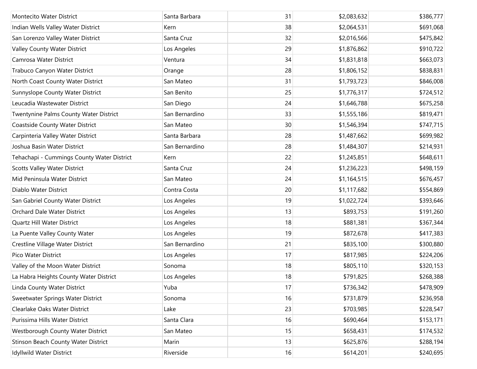| <b>Montecito Water District</b>            | Santa Barbara  | 31 | \$2,083,632 | \$386,777 |
|--------------------------------------------|----------------|----|-------------|-----------|
| Indian Wells Valley Water District         | Kern           | 38 | \$2,064,531 | \$691,068 |
| San Lorenzo Valley Water District          | Santa Cruz     | 32 | \$2,016,566 | \$475,842 |
| Valley County Water District               | Los Angeles    | 29 | \$1,876,862 | \$910,722 |
| Camrosa Water District                     | Ventura        | 34 | \$1,831,818 | \$663,073 |
| Trabuco Canyon Water District              | Orange         | 28 | \$1,806,152 | \$838,831 |
| North Coast County Water District          | San Mateo      | 31 | \$1,793,723 | \$846,008 |
| Sunnyslope County Water District           | San Benito     | 25 | \$1,776,317 | \$724,512 |
| Leucadia Wastewater District               | San Diego      | 24 | \$1,646,788 | \$675,258 |
| Twentynine Palms County Water District     | San Bernardino | 33 | \$1,555,186 | \$819,471 |
| Coastside County Water District            | San Mateo      | 30 | \$1,546,394 | \$747,715 |
| Carpinteria Valley Water District          | Santa Barbara  | 28 | \$1,487,662 | \$699,982 |
| Joshua Basin Water District                | San Bernardino | 28 | \$1,484,307 | \$214,931 |
| Tehachapi - Cummings County Water District | Kern           | 22 | \$1,245,851 | \$648,611 |
| <b>Scotts Valley Water District</b>        | Santa Cruz     | 24 | \$1,236,223 | \$498,159 |
| Mid Peninsula Water District               | San Mateo      | 24 | \$1,164,515 | \$676,457 |
| Diablo Water District                      | Contra Costa   | 20 | \$1,117,682 | \$554,869 |
| San Gabriel County Water District          | Los Angeles    | 19 | \$1,022,724 | \$393,646 |
| Orchard Dale Water District                | Los Angeles    | 13 | \$893,753   | \$191,260 |
| Quartz Hill Water District                 | Los Angeles    | 18 | \$881,381   | \$367,344 |
| La Puente Valley County Water              | Los Angeles    | 19 | \$872,678   | \$417,383 |
| Crestline Village Water District           | San Bernardino | 21 | \$835,100   | \$300,880 |
| Pico Water District                        | Los Angeles    | 17 | \$817,985   | \$224,206 |
| Valley of the Moon Water District          | Sonoma         | 18 | \$805,110   | \$320,153 |
| La Habra Heights County Water District     | Los Angeles    | 18 | \$791,825   | \$268,388 |
| Linda County Water District                | Yuba           | 17 | \$736,342   | \$478,909 |
| Sweetwater Springs Water District          | Sonoma         | 16 | \$731,879   | \$236,958 |
| Clearlake Oaks Water District              | Lake           | 23 | \$703,985   | \$228,547 |
| Purissima Hills Water District             | Santa Clara    | 16 | \$690,464   | \$153,171 |
| Westborough County Water District          | San Mateo      | 15 | \$658,431   | \$174,532 |
| Stinson Beach County Water District        | Marin          | 13 | \$625,876   | \$288,194 |
| Idyllwild Water District                   | Riverside      | 16 | \$614,201   | \$240,695 |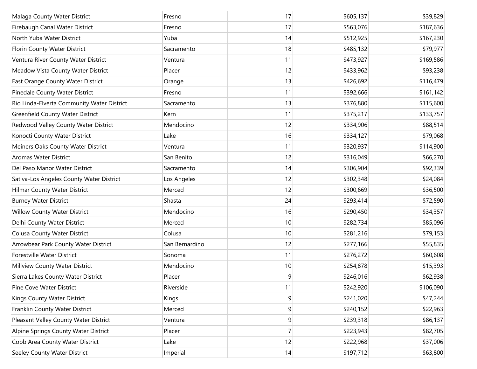| Malaga County Water District               | Fresno         | 17             | \$605,137 | \$39,829  |
|--------------------------------------------|----------------|----------------|-----------|-----------|
| Firebaugh Canal Water District             | Fresno         | 17             | \$563,076 | \$187,636 |
| North Yuba Water District                  | Yuba           | 14             | \$512,925 | \$167,230 |
| Florin County Water District               | Sacramento     | 18             | \$485,132 | \$79,977  |
| Ventura River County Water District        | Ventura        | 11             | \$473,927 | \$169,586 |
| Meadow Vista County Water District         | Placer         | 12             | \$433,962 | \$93,238  |
| East Orange County Water District          | Orange         | 13             | \$426,692 | \$116,479 |
| Pinedale County Water District             | Fresno         | 11             | \$392,666 | \$161,142 |
| Rio Linda-Elverta Community Water District | Sacramento     | 13             | \$376,880 | \$115,600 |
| <b>Greenfield County Water District</b>    | Kern           | 11             | \$375,217 | \$133,757 |
| Redwood Valley County Water District       | Mendocino      | 12             | \$334,906 | \$88,514  |
| Konocti County Water District              | Lake           | 16             | \$334,127 | \$79,068  |
| Meiners Oaks County Water District         | Ventura        | 11             | \$320,937 | \$114,900 |
| <b>Aromas Water District</b>               | San Benito     | 12             | \$316,049 | \$66,270  |
| Del Paso Manor Water District              | Sacramento     | 14             | \$306,904 | \$92,339  |
| Sativa-Los Angeles County Water District   | Los Angeles    | 12             | \$302,348 | \$24,084  |
| <b>Hilmar County Water District</b>        | Merced         | 12             | \$300,669 | \$36,500  |
| <b>Burney Water District</b>               | Shasta         | 24             | \$293,414 | \$72,590  |
| Willow County Water District               | Mendocino      | 16             | \$290,450 | \$34,357  |
| Delhi County Water District                | Merced         | 10             | \$282,734 | \$85,096  |
| <b>Colusa County Water District</b>        | Colusa         | 10             | \$281,216 | \$79,153  |
| Arrowbear Park County Water District       | San Bernardino | 12             | \$277,166 | \$55,835  |
| Forestville Water District                 | Sonoma         | 11             | \$276,272 | \$60,608  |
| Millview County Water District             | Mendocino      | 10             | \$254,878 | \$15,393  |
| Sierra Lakes County Water District         | Placer         | 9              | \$246,016 | \$62,938  |
| Pine Cove Water District                   | Riverside      | 11             | \$242,920 | \$106,090 |
| Kings County Water District                | Kings          | 9              | \$241,020 | \$47,244  |
| Franklin County Water District             | Merced         | 9              | \$240,152 | \$22,963  |
| Pleasant Valley County Water District      | Ventura        | $\overline{9}$ | \$239,318 | \$86,137  |
| Alpine Springs County Water District       | Placer         | 7              | \$223,943 | \$82,705  |
| Cobb Area County Water District            | Lake           | 12             | \$222,968 | \$37,006  |
| Seeley County Water District               | Imperial       | 14             | \$197,712 | \$63,800  |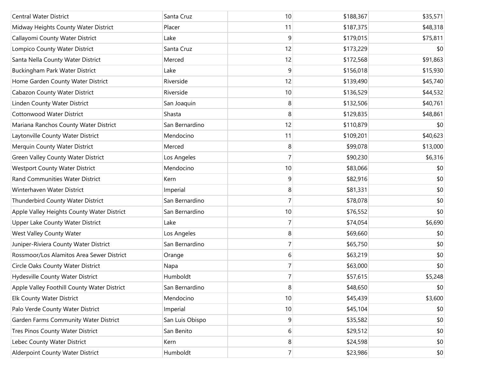| <b>Central Water District</b>               | Santa Cruz      | 10             | \$188,367 | \$35,571 |
|---------------------------------------------|-----------------|----------------|-----------|----------|
| Midway Heights County Water District        | Placer          | 11             | \$187,375 | \$48,318 |
| Callayomi County Water District             | Lake            | 9              | \$179,015 | \$75,811 |
| Lompico County Water District               | Santa Cruz      | 12             | \$173,229 | \$0      |
| Santa Nella County Water District           | Merced          | 12             | \$172,568 | \$91,863 |
| Buckingham Park Water District              | Lake            | 9              | \$156,018 | \$15,930 |
| Home Garden County Water District           | Riverside       | 12             | \$139,490 | \$45,740 |
| Cabazon County Water District               | Riverside       | 10             | \$136,529 | \$44,532 |
| Linden County Water District                | San Joaquin     | 8              | \$132,506 | \$40,761 |
| <b>Cottonwood Water District</b>            | Shasta          | 8              | \$129,835 | \$48,861 |
| Mariana Ranchos County Water District       | San Bernardino  | 12             | \$110,879 | \$0      |
| Laytonville County Water District           | Mendocino       | 11             | \$109,201 | \$40,623 |
| Merquin County Water District               | Merced          | 8              | \$99,078  | \$13,000 |
| Green Valley County Water District          | Los Angeles     | 7              | \$90,230  | \$6,316  |
| <b>Westport County Water District</b>       | Mendocino       | 10             | \$83,066  | \$0      |
| Rand Communities Water District             | Kern            | 9              | \$82,916  | \$0      |
| Winterhaven Water District                  | Imperial        | 8              | \$81,331  | \$0      |
| Thunderbird County Water District           | San Bernardino  | 7              | \$78,078  | \$0      |
| Apple Valley Heights County Water District  | San Bernardino  | 10             | \$76,552  | \$0      |
| Upper Lake County Water District            | Lake            | 7              | \$74,054  | \$6,690  |
| West Valley County Water                    | Los Angeles     | 8              | \$69,660  | \$0      |
| Juniper-Riviera County Water District       | San Bernardino  | 7              | \$65,750  | \$0      |
| Rossmoor/Los Alamitos Area Sewer District   | Orange          | 6              | \$63,219  | \$0      |
| Circle Oaks County Water District           | Napa            | 7              | \$63,000  | \$0      |
| Hydesville County Water District            | Humboldt        | $\overline{7}$ | \$57,615  | \$5,248  |
| Apple Valley Foothill County Water District | San Bernardino  | 8              | \$48,650  | \$0      |
| <b>Elk County Water District</b>            | Mendocino       | 10             | \$45,439  | \$3,600  |
| Palo Verde County Water District            | Imperial        | 10             | \$45,104  | \$0      |
| Garden Farms Community Water District       | San Luis Obispo | 9              | \$35,582  | \$0      |
| Tres Pinos County Water District            | San Benito      | 6              | \$29,512  | \$0      |
| Lebec County Water District                 | Kern            | 8              | \$24,598  | \$0      |
| Alderpoint County Water District            | Humboldt        | $\overline{7}$ | \$23,986  | \$0      |